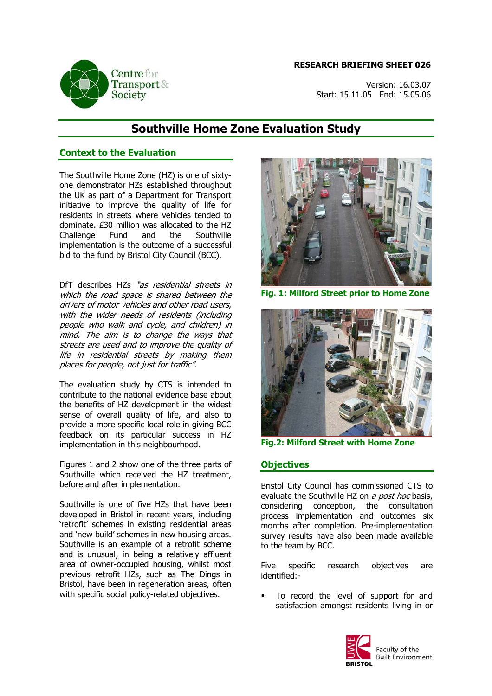#### **RESEARCH BRIEFING SHEET 026**



Version: 16.03.07 Start: 15.11.05 End: 15.05.06

# **Southville Home Zone Evaluation Study**

## **Context to the Evaluation**

The Southville Home Zone (HZ) is one of sixtyone demonstrator HZs established throughout the UK as part of a Department for Transport initiative to improve the quality of life for residents in streets where vehicles tended to dominate. £30 million was allocated to the HZ Challenge Fund and the Southville implementation is the outcome of a successful bid to the fund by Bristol City Council (BCC).

DfT describes HZs "as residential streets in which the road space is shared between the drivers of motor vehicles and other road users, with the wider needs of residents (including people who walk and cycle, and children) in mind. The aim is to change the ways that streets are used and to improve the quality of life in residential streets by making them places for people, not just for traffic".

The evaluation study by CTS is intended to contribute to the national evidence base about the benefits of HZ development in the widest sense of overall quality of life, and also to provide a more specific local role in giving BCC feedback on its particular success in HZ implementation in this neighbourhood.

Figures 1 and 2 show one of the three parts of Southville which received the HZ treatment, before and after implementation.

Southville is one of five HZs that have been developed in Bristol in recent years, including 'retrofit' schemes in existing residential areas and 'new build' schemes in new housing areas. Southville is an example of a retrofit scheme and is unusual, in being a relatively affluent area of owner-occupied housing, whilst most previous retrofit HZs, such as The Dings in Bristol, have been in regeneration areas, often with specific social policy-related objectives.



**Fig. 1: Milford Street prior to Home Zone** 



**Fig.2: Milford Street with Home Zone**

## **Objectives**

Bristol City Council has commissioned CTS to evaluate the Southville HZ on a post hoc basis, considering conception, the consultation process implementation and outcomes six months after completion. Pre-implementation survey results have also been made available to the team by BCC.

Five specific research objectives are identified:-

 To record the level of support for and satisfaction amongst residents living in or